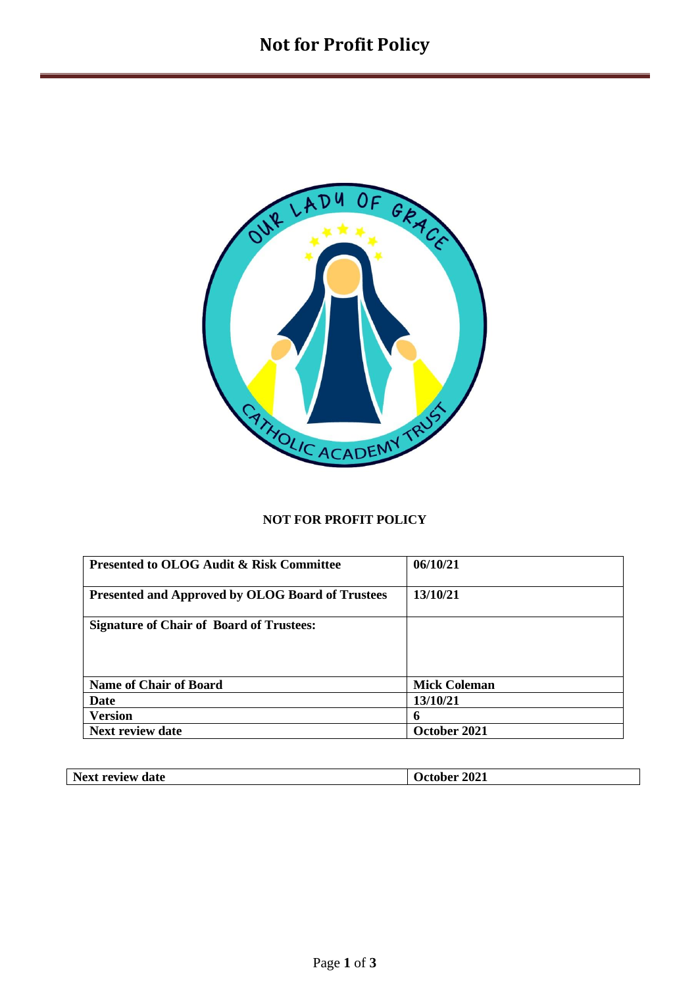

## **NOT FOR PROFIT POLICY**

| <b>Presented to OLOG Audit &amp; Risk Committee</b>     | 06/10/21            |
|---------------------------------------------------------|---------------------|
| <b>Presented and Approved by OLOG Board of Trustees</b> | 13/10/21            |
| <b>Signature of Chair of Board of Trustees:</b>         |                     |
|                                                         |                     |
|                                                         |                     |
| <b>Name of Chair of Board</b>                           | <b>Mick Coleman</b> |
| Date                                                    | 13/10/21            |
| <b>Version</b>                                          | 6                   |
| <b>Next review date</b>                                 | October 2021        |

| N <sub>o</sub><br>date<br><b>MATTAIT</b><br>$-w$<br>. | 2021<br>$\mathbf{A}$<br>___ |
|-------------------------------------------------------|-----------------------------|
|                                                       |                             |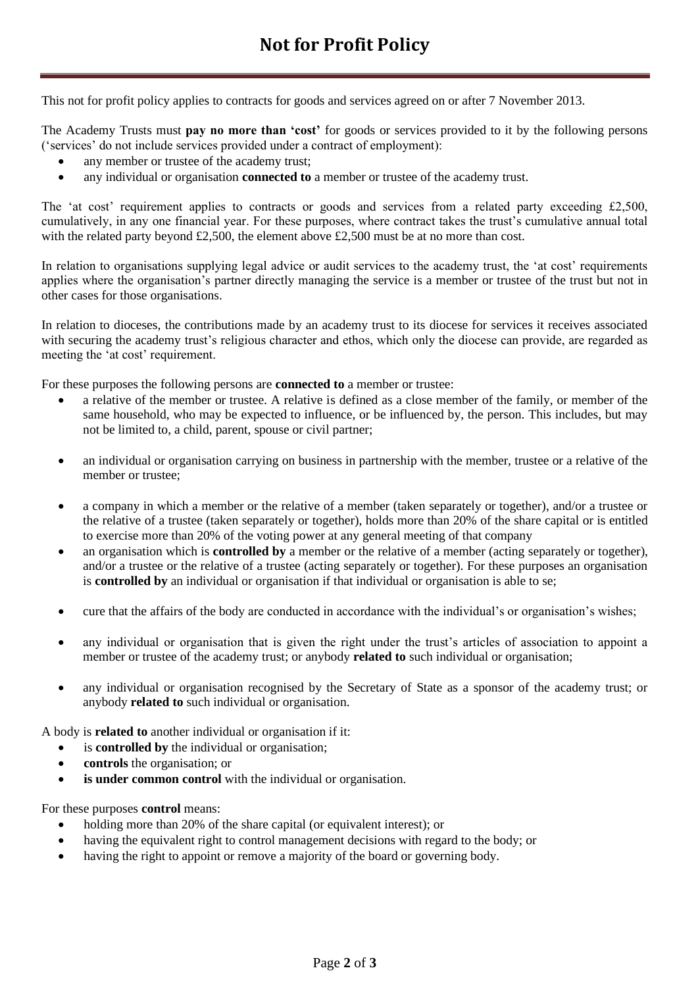This not for profit policy applies to contracts for goods and services agreed on or after 7 November 2013.

The Academy Trusts must **pay no more than 'cost'** for goods or services provided to it by the following persons ('services' do not include services provided under a contract of employment):

- any member or trustee of the academy trust;
- any individual or organisation **connected to** a member or trustee of the academy trust.

The 'at cost' requirement applies to contracts or goods and services from a related party exceeding £2,500, cumulatively, in any one financial year. For these purposes, where contract takes the trust's cumulative annual total with the related party beyond £2,500, the element above £2,500 must be at no more than cost.

In relation to organisations supplying legal advice or audit services to the academy trust, the 'at cost' requirements applies where the organisation's partner directly managing the service is a member or trustee of the trust but not in other cases for those organisations.

In relation to dioceses, the contributions made by an academy trust to its diocese for services it receives associated with securing the academy trust's religious character and ethos, which only the diocese can provide, are regarded as meeting the 'at cost' requirement.

For these purposes the following persons are **connected to** a member or trustee:

- a relative of the member or trustee. A relative is defined as a close member of the family, or member of the same household, who may be expected to influence, or be influenced by, the person. This includes, but may not be limited to, a child, parent, spouse or civil partner;
- an individual or organisation carrying on business in partnership with the member, trustee or a relative of the member or trustee;
- a company in which a member or the relative of a member (taken separately or together), and/or a trustee or the relative of a trustee (taken separately or together), holds more than 20% of the share capital or is entitled to exercise more than 20% of the voting power at any general meeting of that company
- an organisation which is **controlled by** a member or the relative of a member (acting separately or together), and/or a trustee or the relative of a trustee (acting separately or together). For these purposes an organisation is **controlled by** an individual or organisation if that individual or organisation is able to se;
- cure that the affairs of the body are conducted in accordance with the individual's or organisation's wishes;
- any individual or organisation that is given the right under the trust's articles of association to appoint a member or trustee of the academy trust; or anybody **related to** such individual or organisation;
- any individual or organisation recognised by the Secretary of State as a sponsor of the academy trust; or anybody **related to** such individual or organisation.

A body is **related to** another individual or organisation if it:

- is **controlled by** the individual or organisation;
- **controls** the organisation; or
- **is under common control** with the individual or organisation.

For these purposes **control** means:

- holding more than 20% of the share capital (or equivalent interest); or
- having the equivalent right to control management decisions with regard to the body; or
- having the right to appoint or remove a majority of the board or governing body.